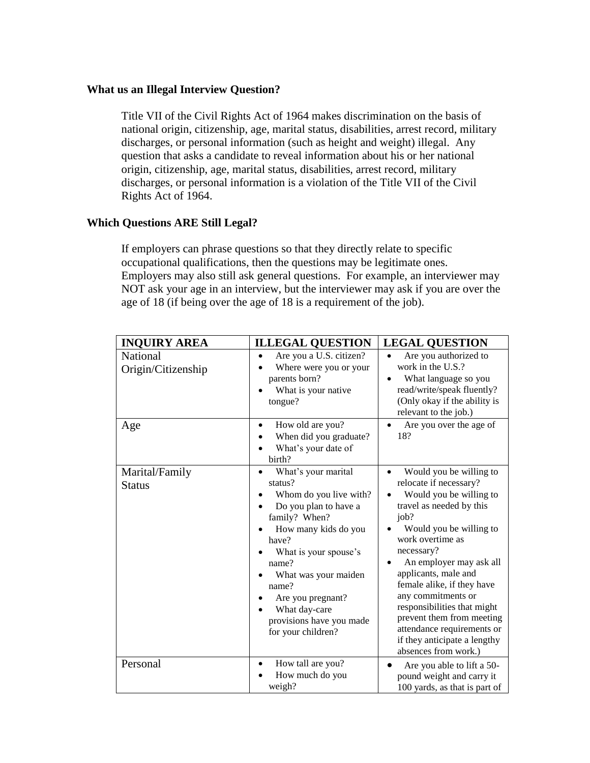## **What us an Illegal Interview Question?**

Title VII of the Civil Rights Act of 1964 makes discrimination on the basis of national origin, citizenship, age, marital status, disabilities, arrest record, military discharges, or personal information (such as height and weight) illegal. Any question that asks a candidate to reveal information about his or her national origin, citizenship, age, marital status, disabilities, arrest record, military discharges, or personal information is a violation of the Title VII of the Civil Rights Act of 1964.

## **Which Questions ARE Still Legal?**

If employers can phrase questions so that they directly relate to specific occupational qualifications, then the questions may be legitimate ones. Employers may also still ask general questions. For example, an interviewer may NOT ask your age in an interview, but the interviewer may ask if you are over the age of 18 (if being over the age of 18 is a requirement of the job).

| <b>INQUIRY AREA</b>             | <b>ILLEGAL QUESTION</b>                                                                                                                                                                                                                                                                                     | <b>LEGAL QUESTION</b>                                                                                                                                                                                                                                                                                                                                                                                                                                    |
|---------------------------------|-------------------------------------------------------------------------------------------------------------------------------------------------------------------------------------------------------------------------------------------------------------------------------------------------------------|----------------------------------------------------------------------------------------------------------------------------------------------------------------------------------------------------------------------------------------------------------------------------------------------------------------------------------------------------------------------------------------------------------------------------------------------------------|
| National<br>Origin/Citizenship  | Are you a U.S. citizen?<br>$\bullet$<br>Where were you or your<br>parents born?<br>What is your native<br>tongue?                                                                                                                                                                                           | Are you authorized to<br>$\bullet$<br>work in the U.S.?<br>What language so you<br>read/write/speak fluently?<br>(Only okay if the ability is<br>relevant to the job.)                                                                                                                                                                                                                                                                                   |
| Age                             | How old are you?<br>$\bullet$<br>When did you graduate?<br>What's your date of<br>birth?                                                                                                                                                                                                                    | Are you over the age of<br>18?                                                                                                                                                                                                                                                                                                                                                                                                                           |
| Marital/Family<br><b>Status</b> | What's your marital<br>$\bullet$<br>status?<br>Whom do you live with?<br>Do you plan to have a<br>family? When?<br>How many kids do you<br>have?<br>What is your spouse's<br>name?<br>What was your maiden<br>name?<br>Are you pregnant?<br>What day-care<br>provisions have you made<br>for your children? | Would you be willing to<br>$\bullet$<br>relocate if necessary?<br>Would you be willing to<br>travel as needed by this<br>job?<br>Would you be willing to<br>work overtime as<br>necessary?<br>An employer may ask all<br>٠<br>applicants, male and<br>female alike, if they have<br>any commitments or<br>responsibilities that might<br>prevent them from meeting<br>attendance requirements or<br>if they anticipate a lengthy<br>absences from work.) |
| Personal                        | How tall are you?<br>How much do you<br>weigh?                                                                                                                                                                                                                                                              | Are you able to lift a 50-<br>pound weight and carry it<br>100 yards, as that is part of                                                                                                                                                                                                                                                                                                                                                                 |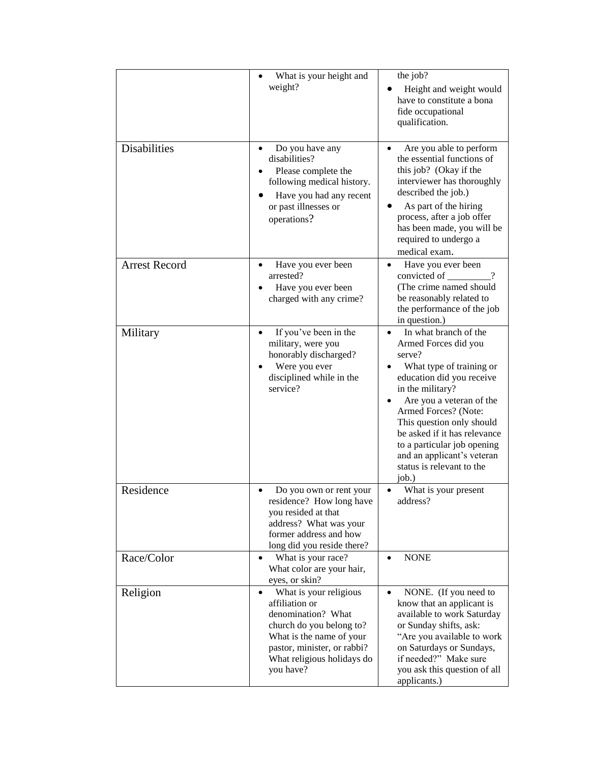|                      | What is your height and<br>weight?                                                                                                                                                                            | the job?<br>Height and weight would<br>have to constitute a bona<br>fide occupational<br>qualification.                                                                                                                                                                                                                                                               |
|----------------------|---------------------------------------------------------------------------------------------------------------------------------------------------------------------------------------------------------------|-----------------------------------------------------------------------------------------------------------------------------------------------------------------------------------------------------------------------------------------------------------------------------------------------------------------------------------------------------------------------|
| <b>Disabilities</b>  | Do you have any<br>disabilities?<br>Please complete the<br>following medical history.<br>Have you had any recent<br>or past illnesses or<br>operations?                                                       | Are you able to perform<br>the essential functions of<br>this job? (Okay if the<br>interviewer has thoroughly<br>described the job.)<br>As part of the hiring<br>process, after a job offer<br>has been made, you will be<br>required to undergo a<br>medical exam.                                                                                                   |
| <b>Arrest Record</b> | Have you ever been<br>arrested?<br>Have you ever been<br>charged with any crime?                                                                                                                              | Have you ever been<br>convicted of<br>(The crime named should<br>be reasonably related to<br>the performance of the job<br>in question.)                                                                                                                                                                                                                              |
| Military             | If you've been in the<br>military, were you<br>honorably discharged?<br>Were you ever<br>disciplined while in the<br>service?                                                                                 | In what branch of the<br>$\bullet$<br>Armed Forces did you<br>serve?<br>What type of training or<br>education did you receive<br>in the military?<br>Are you a veteran of the<br>Armed Forces? (Note:<br>This question only should<br>be asked if it has relevance<br>to a particular job opening<br>and an applicant's veteran<br>status is relevant to the<br>job.) |
| Residence            | Do you own or rent your<br>residence? How long have<br>you resided at that<br>address? What was your<br>former address and how<br>long did you reside there?                                                  | What is your present<br>address?                                                                                                                                                                                                                                                                                                                                      |
| Race/Color           | What is your race?<br>$\bullet$<br>What color are your hair,<br>eyes, or skin?                                                                                                                                | <b>NONE</b><br>$\bullet$                                                                                                                                                                                                                                                                                                                                              |
| Religion             | What is your religious<br>$\bullet$<br>affiliation or<br>denomination? What<br>church do you belong to?<br>What is the name of your<br>pastor, minister, or rabbi?<br>What religious holidays do<br>you have? | NONE. (If you need to<br>$\bullet$<br>know that an applicant is<br>available to work Saturday<br>or Sunday shifts, ask:<br>"Are you available to work<br>on Saturdays or Sundays,<br>if needed?" Make sure<br>you ask this question of all<br>applicants.)                                                                                                            |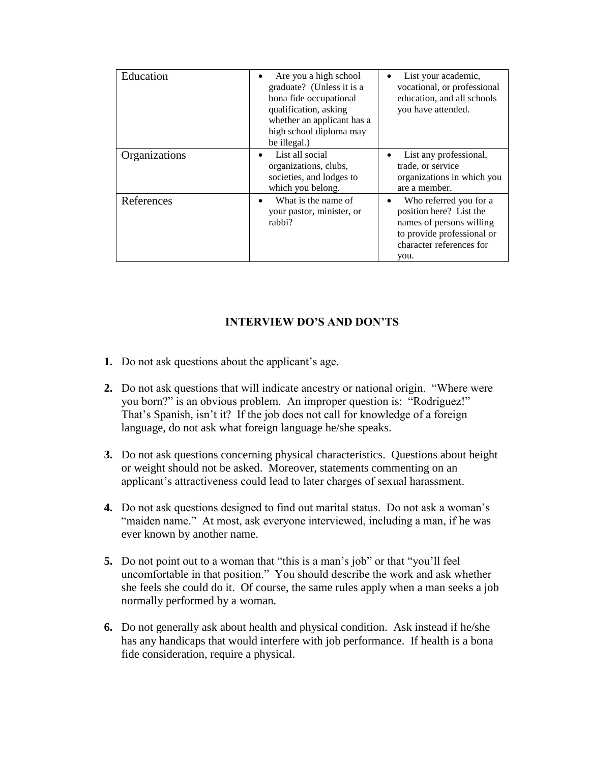| Education     | Are you a high school<br>graduate? (Unless it is a<br>bona fide occupational<br>qualification, asking<br>whether an applicant has a<br>high school diploma may<br>be illegal.) | List your academic,<br>vocational, or professional<br>education, and all schools<br>you have attended.                                               |
|---------------|--------------------------------------------------------------------------------------------------------------------------------------------------------------------------------|------------------------------------------------------------------------------------------------------------------------------------------------------|
| Organizations | List all social<br>organizations, clubs,<br>societies, and lodges to<br>which you belong.                                                                                      | List any professional,<br>trade, or service<br>organizations in which you<br>are a member.                                                           |
| References    | What is the name of<br>٠<br>your pastor, minister, or<br>rabbi?                                                                                                                | Who referred you for a<br>٠<br>position here? List the<br>names of persons willing<br>to provide professional or<br>character references for<br>you. |

## **INTERVIEW DO'S AND DON'TS**

- **1.** Do not ask questions about the applicant's age.
- **2.** Do not ask questions that will indicate ancestry or national origin. "Where were you born?" is an obvious problem. An improper question is: "Rodriguez!" That's Spanish, isn't it? If the job does not call for knowledge of a foreign language, do not ask what foreign language he/she speaks.
- **3.** Do not ask questions concerning physical characteristics. Questions about height or weight should not be asked. Moreover, statements commenting on an applicant's attractiveness could lead to later charges of sexual harassment.
- **4.** Do not ask questions designed to find out marital status. Do not ask a woman's "maiden name." At most, ask everyone interviewed, including a man, if he was ever known by another name.
- **5.** Do not point out to a woman that "this is a man's job" or that "you'll feel uncomfortable in that position." You should describe the work and ask whether she feels she could do it. Of course, the same rules apply when a man seeks a job normally performed by a woman.
- **6.** Do not generally ask about health and physical condition. Ask instead if he/she has any handicaps that would interfere with job performance. If health is a bona fide consideration, require a physical.